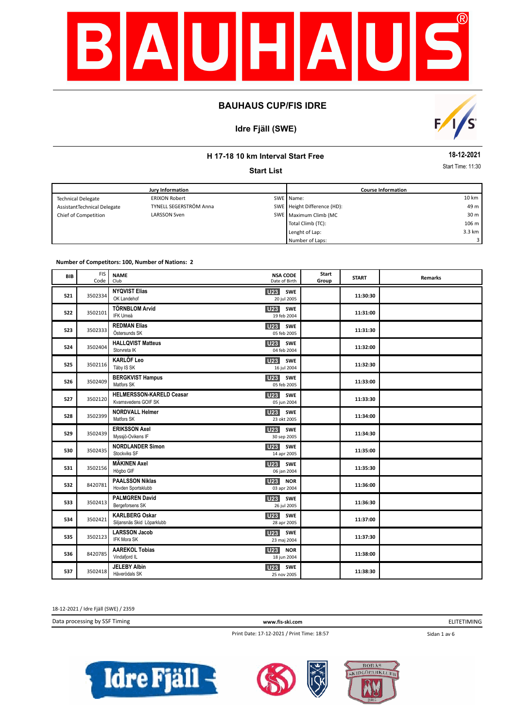

# **Idre Fjäll (SWE)**



## **H 17-18 10 km Interval Start Free**

**Start List**

**18-12-2021**

Start Time: 11:30

|                             | Jury Information       | <b>Course Information</b>   |        |
|-----------------------------|------------------------|-----------------------------|--------|
| <b>Technical Delegate</b>   | <b>ERIXON Robert</b>   | SWE Name:                   | 10 km  |
| AssistantTechnical Delegate | TYNELL SEGERSTRÖM Anna | SWE Height Difference (HD): | 49 m   |
| Chief of Competition        | LARSSON Sven           | SWE Maximum Climb (MC       | 30 m   |
|                             |                        | Total Climb (TC):           | 106 m  |
|                             |                        | Lenght of Lap:              | 3.3 km |
|                             |                        | Number of Laps:             |        |

**Number of Competitors: 100, Number of Nations: 2**

| BIB | <b>FIS</b><br>Code | <b>NAME</b><br>Club                                 | <b>NSA CODE</b><br>Date of Birth             | Start<br>Group | <b>START</b> | <b>Remarks</b> |
|-----|--------------------|-----------------------------------------------------|----------------------------------------------|----------------|--------------|----------------|
| 521 | 3502334            | <b>NYQVIST Elias</b><br>OK Landehof                 | <b>U23</b><br><b>SWE</b><br>20 jul 2005      |                | 11:30:30     |                |
| 522 | 3502101            | <b>TÖRNBLOM Arvid</b><br>IFK Umeå                   | U <sub>23</sub><br>SWE<br>19 feb 2004        |                | 11:31:00     |                |
| 523 | 3502333            | <b>REDMAN Elias</b><br>Östersunds SK                | U23 SWE<br>05 feb 2005                       |                | 11:31:30     |                |
| 524 | 3502404            | <b>HALLQVIST Matteus</b><br>Storvreta IK            | <b>U23</b><br>SWE<br>04 feb 2004             |                | 11:32:00     |                |
| 525 | 3502116            | <b>KARLÖF Leo</b><br>Täby IS SK                     | U23<br>SWE<br>16 jul 2004                    |                | 11:32:30     |                |
| 526 | 3502409            | <b>BERGKVIST Hampus</b><br>Matfors SK               | U23<br>SWE<br>05 feb 2005                    |                | 11:33:00     |                |
| 527 | 3502120            | HELMERSSON-KARELD Ceasar<br>Kvarnsvedens GOIF SK    | <b>U23</b><br>SWE<br>05 jun 2004             |                | 11:33:30     |                |
| 528 | 3502399            | <b>NORDVALL Helmer</b><br>Matfors SK                | SWE<br>U23<br>23 okt 2005                    |                | 11:34:00     |                |
| 529 | 3502439            | <b>ERIKSSON Axel</b><br>Myssjö-Ovikens IF           | <b>U23</b><br>SWE<br>30 sep 2005             |                | 11:34:30     |                |
| 530 | 3502435            | <b>NORDLANDER Simon</b><br>Stockviks SF             | U23<br>SWE<br>14 apr 2005                    |                | 11:35:00     |                |
| 531 | 3502156            | <b>MÄKINEN Axel</b><br>Högbo GIF                    | U <sub>23</sub><br>SWE<br>06 jan 2004        |                | 11:35:30     |                |
| 532 | 8420781            | <b>PAALSSON Niklas</b><br>Hovden Sportsklubb        | U <sub>23</sub><br><b>NOR</b><br>03 apr 2004 |                | 11:36:00     |                |
| 533 | 3502413            | <b>PALMGREN David</b><br>Bergeforsens SK            | U <sub>23</sub><br>SWE<br>26 jul 2005        |                | 11:36:30     |                |
| 534 | 3502421            | <b>KARLBERG Oskar</b><br>Siljansnäs Skid Löparklubb | <b>U23</b><br><b>SWE</b><br>28 apr 2005      |                | 11:37:00     |                |
| 535 | 3502123            | <b>LARSSON Jacob</b><br>IFK Mora SK                 | SWE<br>U23<br>23 maj 2004                    |                | 11:37:30     |                |
| 536 | 8420785            | <b>AAREKOL Tobias</b><br>Vindafjord IL              | <b>U23</b><br><b>NOR</b><br>18 jun 2004      |                | 11:38:00     |                |
| 537 | 3502418            | <b>JELEBY Albin</b><br>Häverödals SK                | SWE<br><b>U23</b><br>25 nov 2005             |                | 11:38:30     |                |

18-12-2021 / Idre Fjäll (SWE) / 2359

Data processing by SSF Timing **www.fis-ski.com**

Print Date: 17-12-2021 / Print Time: 18:57

ELITETIMING

Sidan 1 av 6





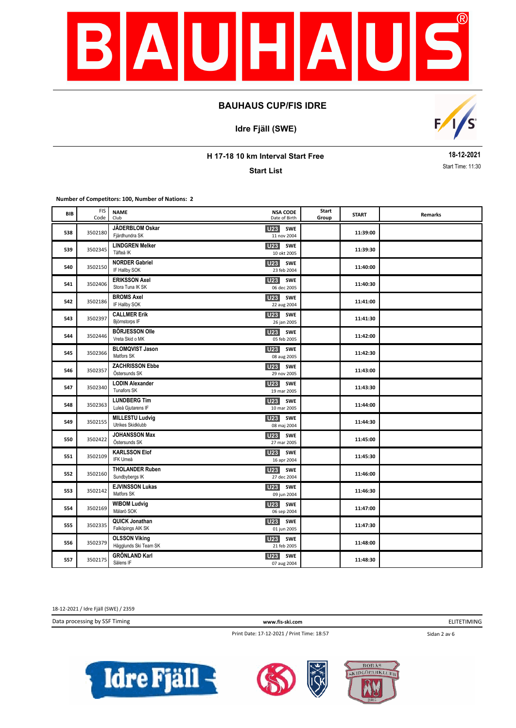

**Idre Fjäll (SWE)**



**H 17-18 10 km Interval Start Free**

**Start List**

**18-12-2021** Start Time: 11:30

**Number of Competitors: 100, Number of Nations: 2**

| BIB | <b>FIS</b><br>Code | <b>NAME</b><br>Club                           | <b>NSA CODE</b><br>Date of Birth             | Start<br>Group | <b>START</b> | Remarks |
|-----|--------------------|-----------------------------------------------|----------------------------------------------|----------------|--------------|---------|
| 538 | 3502180            | JÄDERBLOM Oskar<br>Fjärdhundra SK             | SWE<br><b>U23</b><br>11 nov 2004             |                | 11:39:00     |         |
| 539 | 3502345            | <b>LINDGREN Melker</b><br>Täfteå IK           | U23<br><b>SWE</b><br>10 okt 2005             |                | 11:39:30     |         |
| 540 | 3502150            | <b>NORDER Gabriel</b><br>IF Hallby SOK        | U <sub>23</sub> SWE<br>23 feb 2004           |                | 11:40:00     |         |
| 541 | 3502406            | <b>ERIKSSON Axel</b><br>Stora Tuna IK SK      | <b>U23</b><br><b>SWE</b><br>06 dec 2005      |                | 11:40:30     |         |
| 542 | 3502186            | <b>BROMS Axel</b><br>IF Hallby SOK            | U <sub>23</sub><br><b>SWE</b><br>22 aug 2004 |                | 11:41:00     |         |
| 543 | 3502397            | <b>CALLMER Erik</b><br>Björnstorps IF         | U <sub>23</sub><br><b>SWE</b><br>26 jan 2005 |                | 11:41:30     |         |
| 544 | 3502446            | <b>BÖRJESSON Olle</b><br>Vreta Skid o MK      | <b>U23</b><br><b>SWE</b><br>05 feb 2005      |                | 11:42:00     |         |
| 545 | 3502366            | <b>BLOMQVIST Jason</b><br>Matfors SK          | <b>U23</b><br><b>SWE</b><br>08 aug 2005      |                | 11:42:30     |         |
| 546 | 3502357            | <b>ZACHRISSON Ebbe</b><br>Östersunds SK       | U23<br>SWE<br>29 nov 2005                    |                | 11:43:00     |         |
| 547 | 3502340            | <b>LODIN Alexander</b><br>Tunafors SK         | <b>SWE</b><br>U23<br>19 mar 2005             |                | 11:43:30     |         |
| 548 | 3502363            | <b>LUNDBERG Tim</b><br>Luleå Gjutarens IF     | U <sub>23</sub><br><b>SWE</b><br>10 mar 2005 |                | 11:44:00     |         |
| 549 | 3502155            | <b>MILLESTU Ludvig</b><br>Utrikes Skidklubb   | U <sub>23</sub><br>SWE<br>08 maj 2004        |                | 11:44:30     |         |
| 550 | 3502422            | <b>JOHANSSON Max</b><br>Östersunds SK         | U23<br><b>SWE</b><br>27 mar 2005             |                | 11:45:00     |         |
| 551 | 3502109            | <b>KARLSSON Elof</b><br><b>IFK Umeå</b>       | U <sub>23</sub><br><b>SWE</b><br>16 apr 2004 |                | 11:45:30     |         |
| 552 | 3502160            | <b>THOLANDER Ruben</b><br>Sundbybergs IK      | <b>U23</b><br><b>SWE</b><br>27 dec 2004      |                | 11:46:00     |         |
| 553 | 3502142            | <b>EJVINSSON Lukas</b><br>Matfors SK          | <b>U23</b><br><b>SWE</b><br>09 jun 2004      |                | 11:46:30     |         |
| 554 | 3502169            | <b>WIBOM Ludvig</b><br>Mälarö SOK             | <b>U23</b> SWE<br>06 sep 2004                |                | 11:47:00     |         |
| 555 | 3502335            | QUICK Jonathan<br>Falköpings AIK SK           | <b>U23</b><br><b>SWE</b><br>01 jun 2005      |                | 11:47:30     |         |
| 556 | 3502379            | <b>OLSSON Viking</b><br>Hägglunds Ski Team SK | U23 SWE<br>21 feb 2005                       |                | 11:48:00     |         |
| 557 | 3502175            | <b>GRÖNLAND Karl</b><br>Sälens IF             | <b>SWE</b><br>U23<br>07 aug 2004             |                | 11:48:30     |         |

18-12-2021 / Idre Fjäll (SWE) / 2359

Data processing by SSF Timing **www.fis-ski.com**

ELITETIMING

Print Date: 17-12-2021 / Print Time: 18:57

Sidan 2 av 6





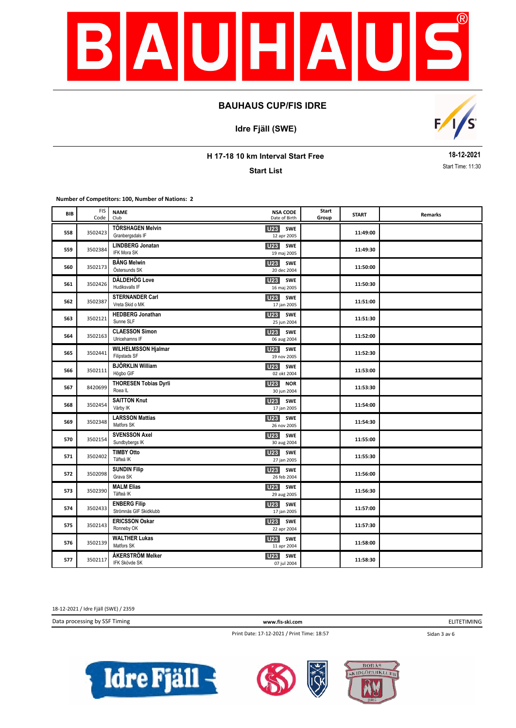

**Idre Fjäll (SWE)**



**H 17-18 10 km Interval Start Free**

**Start List**

**18-12-2021** Start Time: 11:30

**Number of Competitors: 100, Number of Nations: 2**

| BIB | <b>FIS</b><br>Code | <b>NAME</b><br>Club                           | <b>NSA CODE</b><br>Date of Birth             | Start<br>Group | <b>START</b> | Remarks |
|-----|--------------------|-----------------------------------------------|----------------------------------------------|----------------|--------------|---------|
| 558 | 3502423            | <b>TÖRSHAGEN Melvin</b><br>Granbergsdals IF   | U <sub>23</sub><br>SWE<br>12 apr 2005        |                | 11:49:00     |         |
| 559 | 3502384            | <b>LINDBERG Jonatan</b><br><b>IFK Mora SK</b> | U <sub>23</sub><br><b>SWE</b><br>19 maj 2005 |                | 11:49:30     |         |
| 560 | 3502173            | <b>BÅNG Melwin</b><br>Östersunds SK           | U <sub>23</sub> SWE<br>20 dec 2004           |                | 11:50:00     |         |
| 561 | 3502426            | <b>DÄLDEHÖG Love</b><br>Hudiksvalls IF        | U <sub>23</sub><br><b>SWE</b><br>16 maj 2005 |                | 11:50:30     |         |
| 562 | 3502387            | <b>STERNANDER Carl</b><br>Vreta Skid o MK     | SWE<br><b>U23</b><br>17 jan 2005             |                | 11:51:00     |         |
| 563 | 3502121            | <b>HEDBERG Jonathan</b><br>Sunne SLF          | U <sub>23</sub><br><b>SWE</b><br>25 jun 2004 |                | 11:51:30     |         |
| 564 | 3502163            | <b>CLAESSON Simon</b><br>Ulricehamns IF       | U <sub>23</sub><br>SWE<br>06 aug 2004        |                | 11:52:00     |         |
| 565 | 3502441            | <b>WILHELMSSON Hjalmar</b><br>Filipstads SF   | U23 SWE<br>19 nov 2005                       |                | 11:52:30     |         |
| 566 | 3502111            | <b>BJÖRKLIN William</b><br>Högbo GIF          | U23<br><b>SWE</b><br>02 okt 2004             |                | 11:53:00     |         |
| 567 | 8420699            | <b>THORESEN Tobias Dyrli</b><br>Roea IL       | <b>U23 NOR</b><br>30 jun 2004                |                | 11:53:30     |         |
| 568 | 3502454            | <b>SAITTON Knut</b><br>Vårby IK               | U <sub>23</sub><br><b>SWE</b><br>17 jan 2005 |                | 11:54:00     |         |
| 569 | 3502348            | <b>LARSSON Mattias</b><br>Matfors SK          | U <sub>23</sub><br>SWE<br>26 nov 2005        |                | 11:54:30     |         |
| 570 | 3502154            | <b>SVENSSON Axel</b><br>Sundbybergs IK        | U <sub>23</sub><br>SWE<br>30 aug 2004        |                | 11:55:00     |         |
| 571 | 3502402            | <b>TIMBY Otto</b><br>Täfteå IK                | U <sub>23</sub><br><b>SWE</b><br>27 jan 2005 |                | 11:55:30     |         |
| 572 | 3502098            | <b>SUNDIN Filip</b><br>Grava SK               | U23<br><b>SWE</b><br>26 feb 2004             |                | 11:56:00     |         |
| 573 | 3502390            | <b>MALM Elias</b><br>Täfteå IK                | <b>U23</b><br><b>SWE</b><br>29 aug 2005      |                | 11:56:30     |         |
| 574 | 3502433            | <b>ENBERG Filip</b><br>Strömnäs GIF Skidklubb | U23 SWE<br>17 jan 2005                       |                | 11:57:00     |         |
| 575 | 3502143            | <b>ERICSSON Oskar</b><br>Ronneby OK           | U <sub>23</sub><br><b>SWE</b><br>22 apr 2004 |                | 11:57:30     |         |
| 576 | 3502139            | <b>WALTHER Lukas</b><br>Matfors SK            | U23 SWE<br>11 apr 2004                       |                | 11:58:00     |         |
| 577 | 3502117            | ÅKERSTRÖM Melker<br>IFK Skövde SK             | U23<br><b>SWE</b><br>07 jul 2004             |                | 11:58:30     |         |

18-12-2021 / Idre Fjäll (SWE) / 2359

Data processing by SSF Timing **www.fis-ski.com**

ELITETIMING

Print Date: 17-12-2021 / Print Time: 18:57

Sidan 3 av 6





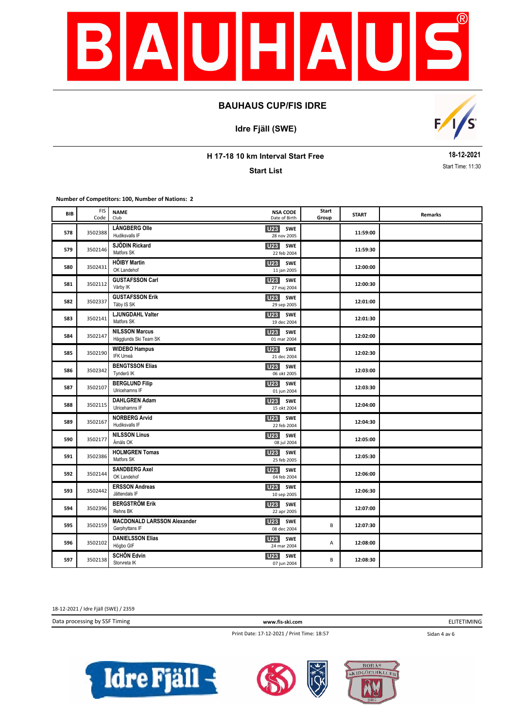

**Idre Fjäll (SWE)**



**H 17-18 10 km Interval Start Free**

**Start List**

**18-12-2021** Start Time: 11:30

**Number of Competitors: 100, Number of Nations: 2**

| BIB | <b>FIS</b><br>Code | <b>NAME</b><br>Club                                  | <b>NSA CODE</b><br>Date of Birth             | Start<br>Group | <b>START</b> | Remarks |
|-----|--------------------|------------------------------------------------------|----------------------------------------------|----------------|--------------|---------|
| 578 | 3502388            | <b>LÅNGBERG Olle</b><br>Hudiksvalls IF               | U23 SWE<br>28 nov 2005                       |                | 11:59:00     |         |
| 579 | 3502146            | SJÖDIN Rickard<br>Matfors SK                         | U <sub>23</sub> SWE<br>22 feb 2004           |                | 11:59:30     |         |
| 580 | 3502431            | <b>HÖIBY Martin</b><br>OK Landehof                   | <b>U23</b> SWE<br>11 jan 2005                |                | 12:00:00     |         |
| 581 | 3502112            | <b>GUSTAFSSON Carl</b><br>Vårby IK                   | U <sub>23</sub><br>SWE<br>27 maj 2004        |                | 12:00:30     |         |
| 582 | 3502337            | <b>GUSTAFSSON Erik</b><br>Täby IS SK                 | U23 SWE<br>29 sep 2005                       |                | 12:01:00     |         |
| 583 | 3502141            | LJUNGDAHL Valter<br>Matfors SK                       | U23<br>SWE<br>19 dec 2004                    |                | 12:01:30     |         |
| 584 | 3502147            | <b>NILSSON Marcus</b><br>Hägglunds Ski Team SK       | <b>U23</b><br><b>SWE</b><br>01 mar 2004      |                | 12:02:00     |         |
| 585 | 3502190            | <b>WIDEBO Hampus</b><br>IFK Umeå                     | <b>U23</b> SWE<br>21 dec 2004                |                | 12:02:30     |         |
| 586 | 3502342            | <b>BENGTSSON Elias</b><br>Tynderö IK                 | <b>U23</b> SWE<br>06 okt 2005                |                | 12:03:00     |         |
| 587 | 3502107            | <b>BERGLUND Filip</b><br>Ulricehamns IF              | U23 SWE<br>01 jun 2004                       |                | 12:03:30     |         |
| 588 | 3502115            | <b>DAHLGREN Adam</b><br>Ulricehamns IF               | U23<br>SWE<br>15 okt 2004                    |                | 12:04:00     |         |
| 589 | 3502167            | <b>NORBERG Arvid</b><br>Hudiksvalls IF               | U23<br>SWE<br>22 feb 2004                    |                | 12:04:30     |         |
| 590 | 3502177            | <b>NILSSON Linus</b><br>Åmåls OK                     | U <sub>23</sub><br>SWE<br>08 jul 2004        |                | 12:05:00     |         |
| 591 | 3502386            | <b>HOLMGREN Tomas</b><br>Matfors SK                  | U <sub>23</sub><br><b>SWE</b><br>25 feb 2005 |                | 12:05:30     |         |
| 592 | 3502144            | <b>SANDBERG Axel</b><br>OK Landehof                  | U23 SWE<br>04 feb 2004                       |                | 12:06:00     |         |
| 593 | 3502442            | <b>ERSSON Andreas</b><br>Jättendals IF               | U <sub>23</sub> SWE<br>10 sep 2005           |                | 12:06:30     |         |
| 594 | 3502396            | <b>BERGSTRÖM Erik</b><br>Rehns BK                    | <b>U23</b> SWE<br>22 apr 2005                |                | 12:07:00     |         |
| 595 | 3502159            | <b>MACDONALD LARSSON Alexander</b><br>Garphyttans IF | <b>U23</b><br><b>SWE</b><br>08 dec 2004      | B              | 12:07:30     |         |
| 596 | 3502102            | <b>DANIELSSON Elias</b><br>Högbo GIF                 | U23 SWE<br>24 mar 2004                       | А              | 12:08:00     |         |
| 597 | 3502138            | <b>SCHÖN Edvin</b><br>Storvreta IK                   | U23<br>SWE<br>07 jun 2004                    | B              | 12:08:30     |         |

18-12-2021 / Idre Fjäll (SWE) / 2359

Data processing by SSF Timing **www.fis-ski.com**

Sidan 4 av 6 ELITETIMING

Print Date: 17-12-2021 / Print Time: 18:57

Idre Fjäll  $\prec$ 



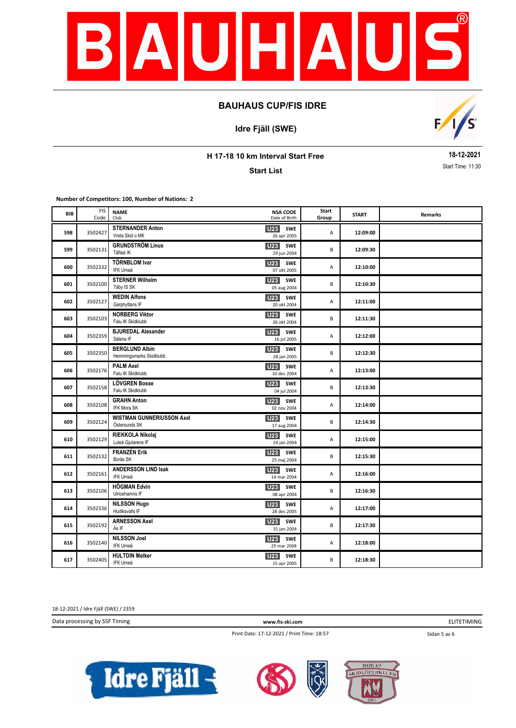

**Idre Fjäll (SWE)**



**H 17-18 10 km Interval Start Free**

**Start List**

**18-12-2021** Start Time: 11:30

**Number of Competitors: 100, Number of Nations: 2**

| BIB | <b>FIS</b><br>Code | <b>NAME</b><br>Club                               | <b>NSA CODE</b><br>Date of Birth             | Start<br>Group | <b>START</b> | Remarks |
|-----|--------------------|---------------------------------------------------|----------------------------------------------|----------------|--------------|---------|
| 598 | 3502427            | <b>STERNANDER Anton</b><br>Vreta Skid o MK        | U23 SWE<br>26 apr 2005                       | А              | 12:09:00     |         |
| 599 | 3502131            | <b>GRUNDSTRÖM Linus</b><br>Täfteå IK              | <b>U23</b> SWE<br>29 jun 2004                | B              | 12:09:30     |         |
| 600 | 3502332            | <b>TÖRNBLOM Ivar</b><br>IFK Umeå                  | U23 SWE<br>07 okt 2005                       | А              | 12:10:00     |         |
| 601 | 3502100            | <b>STERNER Wilhelm</b><br>Täby IS SK              | U <sub>23</sub><br>SWE<br>05 aug 2004        | B              | 12:10:30     |         |
| 602 | 3502127            | <b>WEDIN Alfons</b><br>Garphyttans IF             | U23 SWE<br>20 okt 2004                       | Α              | 12:11:00     |         |
| 603 | 3502103            | <b>NORBERG Viktor</b><br>Falu IK Skidklubb        | <b>U23</b><br><b>SWE</b><br>26 okt 2004      | B              | 12:11:30     |         |
| 604 | 3502359            | <b>BJUREDAL Alexander</b><br>Sälens IF            | <b>U23</b><br><b>SWE</b><br>16 jul 2005      | Α              | 12:12:00     |         |
| 605 | 3502350            | <b>BERGLUND Albin</b><br>Hemmingsmarks Skidklubb  | <b>U23</b> SWE<br>28 jan 2005                | B              | 12:12:30     |         |
| 606 | 3502176            | <b>PALM Axel</b><br>Falu IK Skidklubb             | <b>U23</b><br><b>SWE</b><br>10 dec 2004      | А              | 12:13:00     |         |
| 607 | 3502158            | <b>LÖVGREN Bosse</b><br>Falu IK Skidklubb         | U23 SWE<br>04 jul 2004                       | B              | 12:13:30     |         |
| 608 | 3502108            | <b>GRAHN Anton</b><br><b>IFK Mora SK</b>          | <b>U23</b> SWE<br>02 nov 2004                | Α              | 12:14:00     |         |
| 609 | 3502124            | <b>WISTMAN GUNNERIUSSON Axel</b><br>Östersunds SK | U23 SWE<br>17 aug 2004                       | B              | 12:14:30     |         |
| 610 | 3502129            | RIEKKOLA Nikolaj<br>Luleå Gjutarens IF            | U <sub>23</sub><br><b>SWE</b><br>24 jan 2004 | А              | 12:15:00     |         |
| 611 | 3502132            | <b>FRANZÉN Erik</b><br>Borås SK                   | U <sub>23</sub><br>SWE<br>25 maj 2004        | B              | 12:15:30     |         |
| 612 | 3502161            | <b>ANDERSSON LIND Isak</b><br>IFK Umeå            | <b>U23</b><br>SWE<br>14 mar 2004             | Α              | 12:16:00     |         |
| 613 | 3502106            | <b>HÖGMAN Edvin</b><br>Ulricehamns IF             | <b>U23</b><br><b>SWE</b><br>08 apr 2004      | B              | 12:16:30     |         |
| 614 | 3502336            | <b>NILSSON Hugo</b><br>Hudiksvalls IF             | <b>U23</b> SWE<br>28 dec 2005                | Α              | 12:17:00     |         |
| 615 | 3502192            | <b>ARNESSON Axel</b><br>Ås IF                     | U23 SWE<br>31 jan 2004                       | B              | 12:17:30     |         |
| 616 | 3502140            | <b>NILSSON Joel</b><br>IFK Umeå                   | U <sub>23</sub> SWE<br>25 mar 2004           | А              | 12:18:00     |         |
| 617 | 3502405            | <b>HULTDIN Melker</b><br>IFK Umeå                 | <b>U23</b><br>SWE<br>15 apr 2005             | B              | 12:18:30     |         |

18-12-2021 / Idre Fjäll (SWE) / 2359

Data processing by SSF Timing **www.fis-ski.com**

ELITETIMING

Print Date: 17-12-2021 / Print Time: 18:57

Sidan 5 av 6